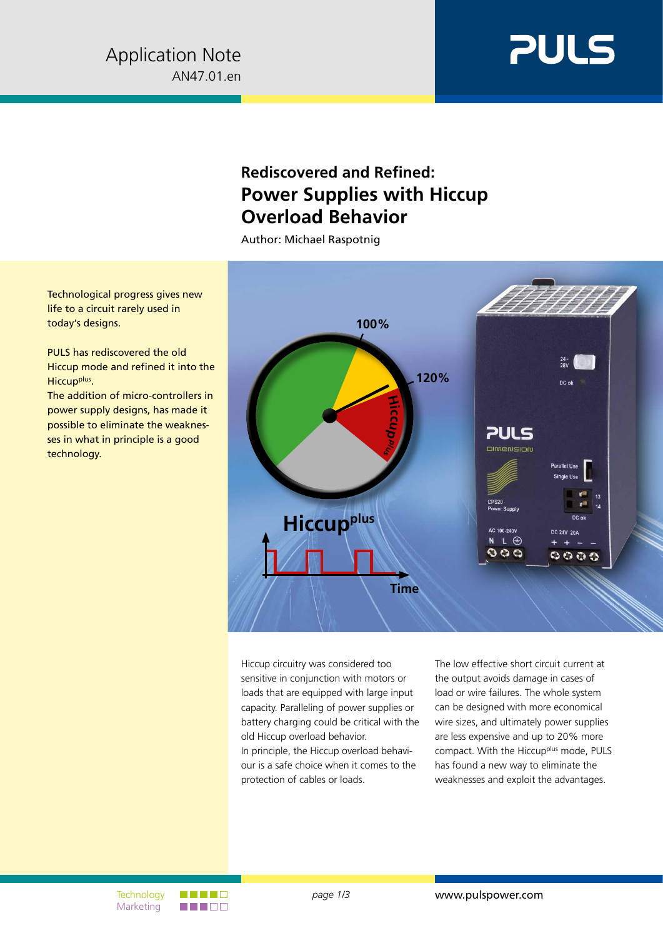

## **Rediscovered and Refined: Power Supplies with Hiccup Overload Behavior**

Author: Michael Raspotnig

Technological progress gives new life to a circuit rarely used in today's designs.

PULS has rediscovered the old Hiccup mode and refined it into the Hiccup<sup>plus</sup>.

The addition of micro-controllers in power supply designs, has made it possible to eliminate the weaknesses in what in principle is a good technology.



Hiccup circuitry was considered too sensitive in conjunction with motors or loads that are equipped with large input capacity. Paralleling of power supplies or battery charging could be critical with the old Hiccup overload behavior. In principle, the Hiccup overload behaviour is a safe choice when it comes to the protection of cables or loads.

The low effective short circuit current at the output avoids damage in cases of load or wire failures. The whole system can be designed with more economical wire sizes, and ultimately power supplies are less expensive and up to 20% more compact. With the Hiccup<sup>plus</sup> mode, PULS has found a new way to eliminate the weaknesses and exploit the advantages.

**Marketing**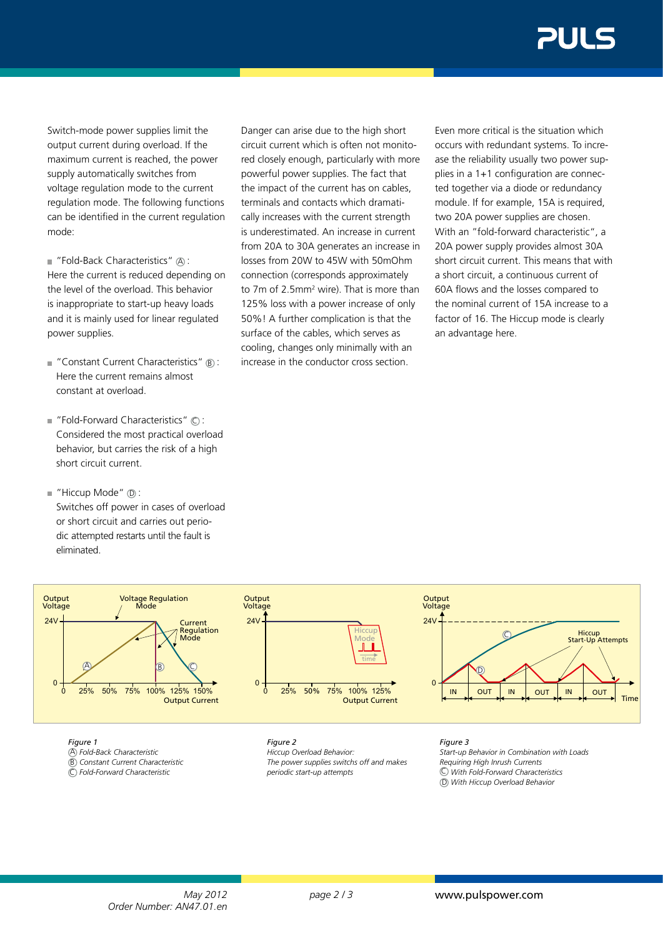Switch-mode power supplies limit the output current during overload. If the maximum current is reached, the power supply automatically switches from voltage regulation mode to the current regulation mode. The following functions can be identified in the current regulation mode:

 $\blacksquare$  "Fold-Back Characteristics"  $\textcircled{A}$  : Here the current is reduced depending on the level of the overload. This behavior is inappropriate to start-up heavy loads and it is mainly used for linear regulated power supplies.

- $\blacksquare$  "Constant Current Characteristics"  $\blacksquare$ Here the current remains almost constant at overload.
- $\blacksquare$  "Fold-Forward Characteristics"  $\bigcirc$  : Considered the most practical overload behavior, but carries the risk of a high short circuit current.
- $\blacksquare$  "Hiccup Mode"  $\oslash$  : Switches off power in cases of overload or short circuit and carries out periodic attempted restarts until the fault is eliminated.

Danger can arise due to the high short circuit current which is often not monitored closely enough, particularly with more powerful power supplies. The fact that the impact of the current has on cables, terminals and contacts which dramatically increases with the current strength is underestimated. An increase in current from 20A to 30A generates an increase in losses from 20W to 45W with 50mOhm connection (corresponds approximately to 7m of 2.5mm<sup>2</sup> wire). That is more than 125% loss with a power increase of only 50%! A further complication is that the surface of the cables, which serves as cooling, changes only minimally with an increase in the conductor cross section.

Even more critical is the situation which occurs with redundant systems. To increase the reliability usually two power supplies in a 1+1 configuration are connected together via a diode or redundancy module. If for example, 15A is required, two 20A power supplies are chosen. With an "fold-forward characteristic", a 20A power supply provides almost 30A short circuit current. This means that with a short circuit, a continuous current of 60A flows and the losses compared to the nominal current of 15A increase to a factor of 16. The Hiccup mode is clearly an advantage here.



## *Figure 1*

 $\overline{A}$  Fold-Back Characteristic B *Constant Current Characteristic* C *Fold-Forward Characteristic*

*Figure 2*

*Hiccup Overload Behavior:* Output Current *The power supplies switchs off and makes periodic start-up attempts* 40A Short Circuit

*Figure 3*

*Start-up Behavior in Combination with Loads Requiring High Inrush Currents* C *With Fold-Forward Characteristics* D *With Hiccup Overload Behavior*